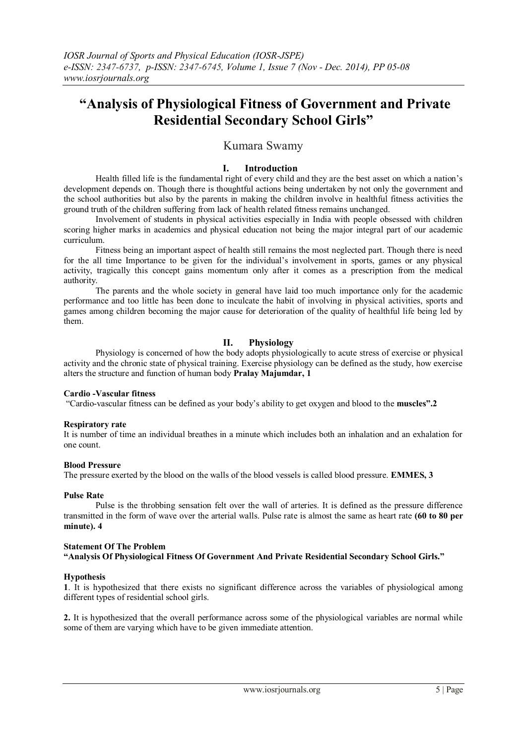# **"Analysis of Physiological Fitness of Government and Private Residential Secondary School Girls"**

## Kumara Swamy

## **I. Introduction**

Health filled life is the fundamental right of every child and they are the best asset on which a nation"s development depends on. Though there is thoughtful actions being undertaken by not only the government and the school authorities but also by the parents in making the children involve in healthful fitness activities the ground truth of the children suffering from lack of health related fitness remains unchanged.

Involvement of students in physical activities especially in India with people obsessed with children scoring higher marks in academics and physical education not being the major integral part of our academic curriculum.

Fitness being an important aspect of health still remains the most neglected part. Though there is need for the all time Importance to be given for the individual"s involvement in sports, games or any physical activity, tragically this concept gains momentum only after it comes as a prescription from the medical authority.

The parents and the whole society in general have laid too much importance only for the academic performance and too little has been done to inculcate the habit of involving in physical activities, sports and games among children becoming the major cause for deterioration of the quality of healthful life being led by them.

## **II. Physiology**

Physiology is concerned of how the body adopts physiologically to acute stress of exercise or physical activity and the chronic state of physical training. Exercise physiology can be defined as the study, how exercise alters the structure and function of human body **Pralay Majumdar, 1** 

#### **Cardio -Vascular fitness**

"Cardio-vascular fitness can be defined as your body"s ability to get oxygen and blood to the **muscles".2** 

#### **Respiratory rate**

It is number of time an individual breathes in a minute which includes both an inhalation and an exhalation for one count.

#### **Blood Pressure**

The pressure exerted by the blood on the walls of the blood vessels is called blood pressure. **EMMES, 3** 

## **Pulse Rate**

Pulse is the throbbing sensation felt over the wall of arteries. It is defined as the pressure difference transmitted in the form of wave over the arterial walls. Pulse rate is almost the same as heart rate **(60 to 80 per minute). 4** 

#### **Statement Of The Problem "Analysis Of Physiological Fitness Of Government And Private Residential Secondary School Girls."**

#### **Hypothesis**

**1**. It is hypothesized that there exists no significant difference across the variables of physiological among different types of residential school girls.

**2.** It is hypothesized that the overall performance across some of the physiological variables are normal while some of them are varying which have to be given immediate attention.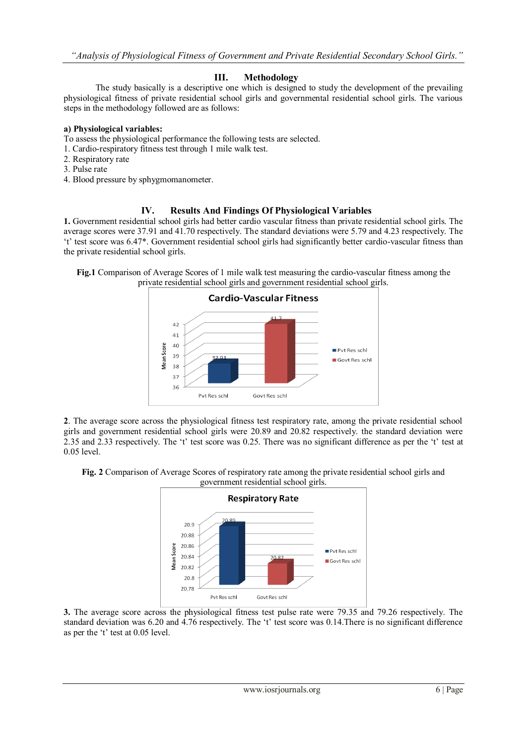## **III. Methodology**

The study basically is a descriptive one which is designed to study the development of the prevailing physiological fitness of private residential school girls and governmental residential school girls. The various steps in the methodology followed are as follows:

## **a) Physiological variables:**

To assess the physiological performance the following tests are selected.

- 1. Cardio-respiratory fitness test through 1 mile walk test.
- 2. Respiratory rate
- 3. Pulse rate
- 4. Blood pressure by sphygmomanometer.

## **IV. Results And Findings Of Physiological Variables**

**1.** Government residential school girls had better cardio vascular fitness than private residential school girls. The average scores were 37.91 and 41.70 respectively. The standard deviations were 5.79 and 4.23 respectively. The "t" test score was 6.47\*. Government residential school girls had significantly better cardio-vascular fitness than the private residential school girls.

**Fig.1** Comparison of Average Scores of 1 mile walk test measuring the cardio-vascular fitness among the private residential school girls and government residential school girls.



**2**. The average score across the physiological fitness test respiratory rate, among the private residential school girls and government residential school girls were 20.89 and 20.82 respectively. the standard deviation were 2.35 and 2.33 respectively. The "t" test score was 0.25. There was no significant difference as per the "t" test at 0.05 level.





**3.** The average score across the physiological fitness test pulse rate were 79.35 and 79.26 respectively. The standard deviation was 6.20 and 4.76 respectively. The 't' test score was 0.14. There is no significant difference as per the 't' test at 0.05 level.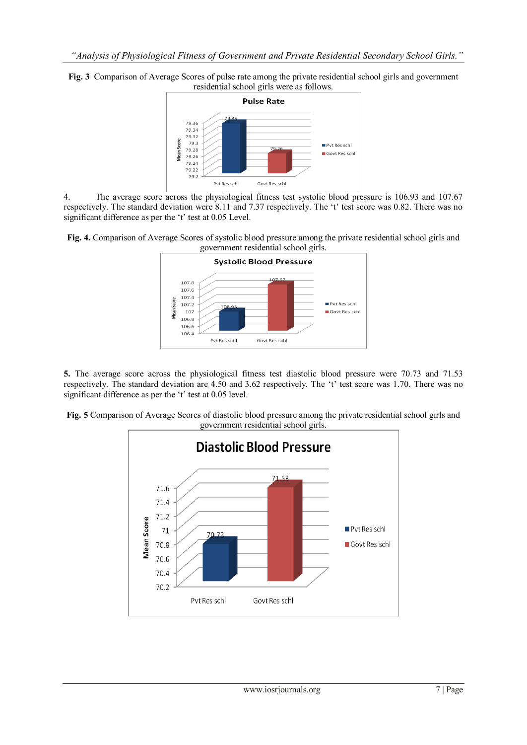



4. The average score across the physiological fitness test systolic blood pressure is 106.93 and 107.67 respectively. The standard deviation were 8.11 and 7.37 respectively. The 't' test score was 0.82. There was no significant difference as per the 't' test at 0.05 Level.





**5.** The average score across the physiological fitness test diastolic blood pressure were 70.73 and 71.53 respectively. The standard deviation are 4.50 and 3.62 respectively. The "t" test score was 1.70. There was no significant difference as per the 't' test at 0.05 level.



**Fig. 5** Comparison of Average Scores of diastolic blood pressure among the private residential school girls and government residential school girls.